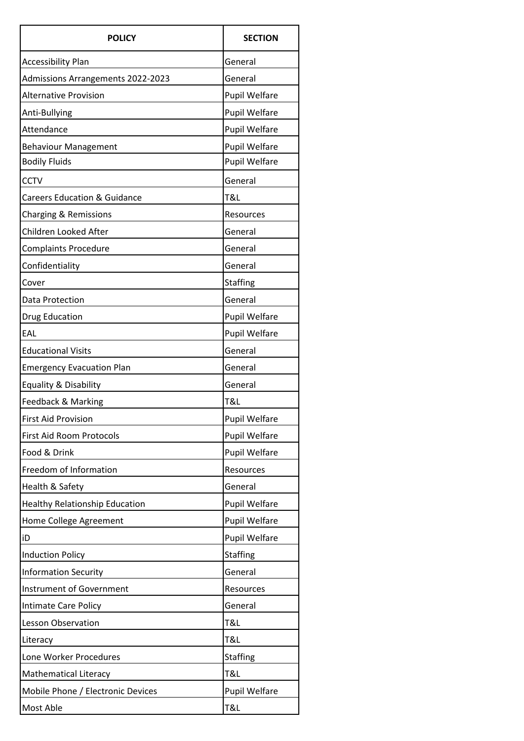| <b>POLICY</b>                           | <b>SECTION</b>       |
|-----------------------------------------|----------------------|
| <b>Accessibility Plan</b>               | General              |
| Admissions Arrangements 2022-2023       | General              |
| <b>Alternative Provision</b>            | <b>Pupil Welfare</b> |
| Anti-Bullying                           | Pupil Welfare        |
| Attendance                              | Pupil Welfare        |
| <b>Behaviour Management</b>             | <b>Pupil Welfare</b> |
| <b>Bodily Fluids</b>                    | Pupil Welfare        |
| <b>CCTV</b>                             | General              |
| <b>Careers Education &amp; Guidance</b> | T&L                  |
| Charging & Remissions                   | Resources            |
| Children Looked After                   | General              |
| <b>Complaints Procedure</b>             | General              |
| Confidentiality                         | General              |
| Cover                                   | <b>Staffing</b>      |
| Data Protection                         | General              |
| Drug Education                          | <b>Pupil Welfare</b> |
| EAL                                     | Pupil Welfare        |
| <b>Educational Visits</b>               | General              |
| <b>Emergency Evacuation Plan</b>        | General              |
| Equality & Disability                   | General              |
| Feedback & Marking                      | T&L                  |
| <b>First Aid Provision</b>              | Pupil Welfare        |
| <b>First Aid Room Protocols</b>         | Pupil Welfare        |
| Food & Drink                            | Pupil Welfare        |
| Freedom of Information                  | Resources            |
| Health & Safety                         | General              |
| <b>Healthy Relationship Education</b>   | <b>Pupil Welfare</b> |
| Home College Agreement                  | <b>Pupil Welfare</b> |
| iD                                      | <b>Pupil Welfare</b> |
| <b>Induction Policy</b>                 | <b>Staffing</b>      |
| <b>Information Security</b>             | General              |
| <b>Instrument of Government</b>         | Resources            |
| Intimate Care Policy                    | General              |
| <b>Lesson Observation</b>               | T&L                  |
| Literacy                                | T&L                  |
| Lone Worker Procedures                  | <b>Staffing</b>      |
| <b>Mathematical Literacy</b>            | T&L                  |
| Mobile Phone / Electronic Devices       | <b>Pupil Welfare</b> |
| Most Able                               | T&L                  |